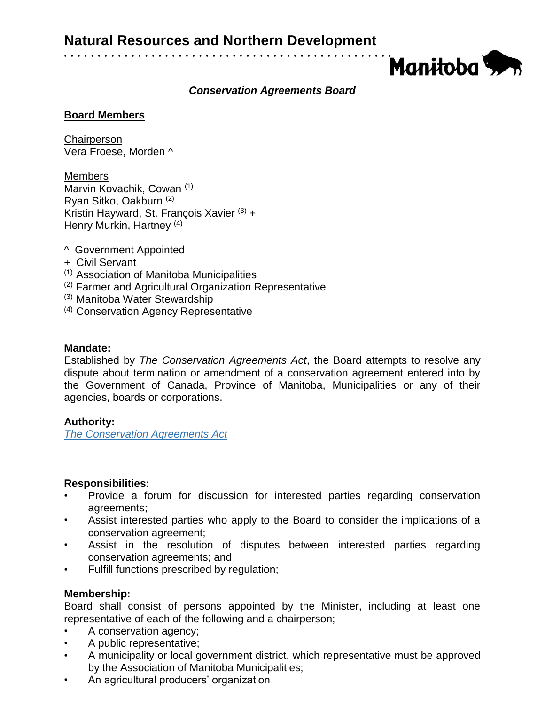

# *Conservation Agreements Board*

## **Board Members**

**Chairperson** Vera Froese, Morden ^

**Members** Marvin Kovachik, Cowan (1) Ryan Sitko, Oakburn (2) Kristin Hayward, St. François Xavier  $(3)$  + Henry Murkin, Hartney<sup>(4)</sup>

- ^ Government Appointed
- + Civil Servant
- (1) Association of Manitoba Municipalities
- (2) Farmer and Agricultural Organization Representative
- (3) Manitoba Water Stewardship
- (4) Conservation Agency Representative

## **Mandate:**

Established by *The Conservation Agreements Act*, the Board attempts to resolve any dispute about termination or amendment of a conservation agreement entered into by the Government of Canada, Province of Manitoba, Municipalities or any of their agencies, boards or corporations.

# **Authority:**

*[The Conservation Agreements Act](https://web2.gov.mb.ca/laws/statutes/ccsm/_pdf.php?cap=c173)*

#### **Responsibilities:**

- Provide a forum for discussion for interested parties regarding conservation agreements;
- Assist interested parties who apply to the Board to consider the implications of a conservation agreement;
- Assist in the resolution of disputes between interested parties regarding conservation agreements; and
- Fulfill functions prescribed by regulation;

# **Membership:**

Board shall consist of persons appointed by the Minister, including at least one representative of each of the following and a chairperson;

- A conservation agency;
- A public representative;
- A municipality or local government district, which representative must be approved by the Association of Manitoba Municipalities;
- An agricultural producers' organization